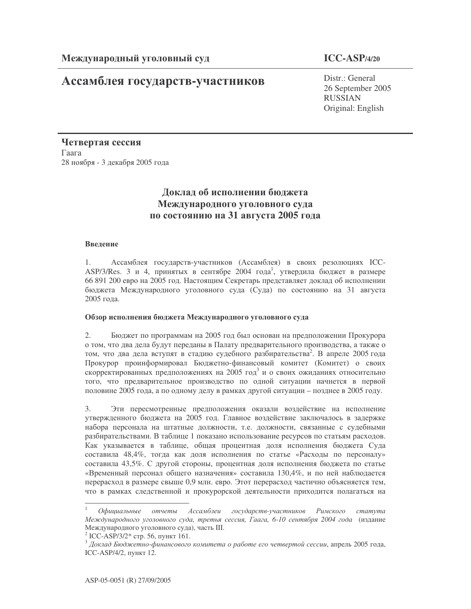# Ассамблея государств-участников

## **ICC-ASP/4/20**

Distr.: General 26 September 2005 RUSSIAN Original: English

Четвертая сессия  $\Gamma$ аага 28 ноября - 3 декабря 2005 года

## Доклад об исполнении бюджета Международного уголовного суда по состоянию на 31 августа 2005 года

### Введение

1. Ассамблея государств-участников (Ассамблея) в своих резолюциях ICC-ASP/3/Res. 3 и 4, принятых в сентябре 2004 года<sup>1</sup>, утвердила бюджет в размере 66 891 200 евро на 2005 год. Настоящим Секретарь представляет доклад об исполнении бюджета Международного уголовного суда (Суда) по состоянию на 31 августа 2005 года.

### Обзор исполнения бюджета Международного уголовного суда

2. Бюджет по программам на 2005 год был основан на предположении Прокурора о том, что два дела будут переданы в Палату предварительного производства, а также о том, что два дела вступят в стадию судебного разбирательства<sup>2</sup>. В апреле 2005 года Прокурор проинформировал Бюджетно-финансовый комитет (Комитет) о своих скорректированных предположениях на 2005 год<sup>3</sup> и о своих ожиданиях относительно того, что предварительное производство по одной ситуации начнется в первой половине 2005 года, а по одному делу в рамках другой ситуации - позднее в 2005 году.

3. Эти пересмотренные предположения оказали воздействие на исполнение утвержденного бюджета на 2005 год. Главное воздействие заключалось в задержке набора персонала на штатные должности, т.е. должности, связанные с судебными разбирательствами. В таблице 1 показано использование ресурсов по статьям расходов. Как указывается в таблице, общая процентная доля исполнения бюджета Суда составила 48,4%, тогда как доля исполнения по статье «Расходы по персоналу» составила 43,5%. С другой стороны, процентная доля исполнения бюджета по статье «Временный персонал общего назначения» составила 130,4%, и по ней наблюдается перерасход в размере свыше 0,9 млн. евро. Этот перерасход частично объясняется тем, что в рамках следственной и прокурорской деятельности приходится полагаться на

 $^{1}$  Официальные отчеты Ассамблеи государств-участников Римского статута Международного уголовного суда, третья сессия, Гаага, 6-10 сентября 2004 года (издание Международного уголовного суда), часть III.

<sup>&</sup>lt;sup>2</sup> ICC-ASP/3/2<sup>\*</sup> стр. 56, пункт 161.

 $^3$  Доклад Бюджетно-финансового комитета о работе его четвертой сессии, апрель 2005 года, ICC-ASP/4/2, пункт 12.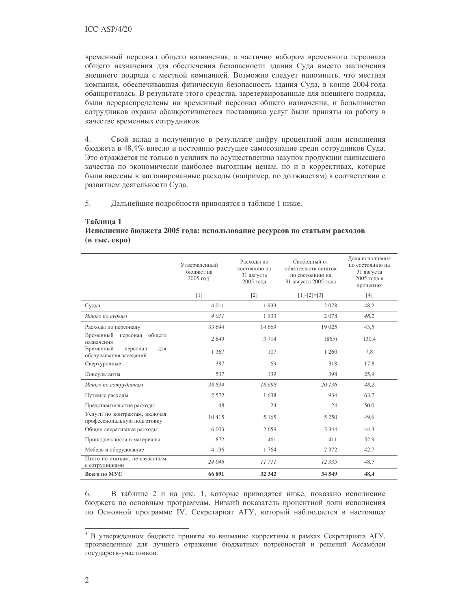временный персонал общего назначения, а частично набором временного персонала общего назначения для обеспечения безопасности здания Суда вместо заключения внешнего подряда с местной компанией. Возможно следует напомнить, что местная компания, обеспечивавшая физическую безопасность здания Суда, в конце 2004 года обанкротилась. В результате этого средства, зарезервированные для внешнего подряда, были перераспределены на временный персонал общего назначения, и большинство сотрудников охраны обанкротившегося поставщика услуг были приняты на работу в качестве временных сотрудников.

4. Свой вклад в полученную в результате цифру процентной доли исполнения бюджета в 48,4% внесло и постоянно растущее самосознание среди сотрудников Суда. Это отражается не только в усилиях по осуществлению закупок продукции наивысшего качества по экономически наиболее выгодным ценам, но и в коррективах, которые были внесены в запланированные расходы (например, по должностям) в соответствии с развитием деятельности Суда.

5. Дальнейшие подробности приводятся в таблице 1 ниже.

#### **1**

#### <u>Исполнение бюджета 2005 года: использование ресурсов по статьям расходов</u> (в тыс. евро)

|                                                              | Утвержденный<br>бюлжет на<br>2005 год <sup>4</sup> | Расходы по<br>состоянию на<br>31 августа<br>2005 года | Своболный от<br>обязательств остаток<br>по состоянию на<br>31 августа 2005 года | Доля исполнения<br>по состоянию на<br>31 августа<br>2005 года в<br>процентах |
|--------------------------------------------------------------|----------------------------------------------------|-------------------------------------------------------|---------------------------------------------------------------------------------|------------------------------------------------------------------------------|
|                                                              | [1]                                                | $\lceil 2 \rceil$                                     | $[1]$ - $[2]$ = $[3]$                                                           | [4]                                                                          |
| Судьи                                                        | 4 0 1 1                                            | 1933                                                  | 2078                                                                            | 48,2                                                                         |
| Итого по судьям                                              | 4011                                               | 1933                                                  | 2078                                                                            | 48,2                                                                         |
| Расходы по персоналу                                         | 33 694                                             | 14 6 69                                               | 19 025                                                                          | 43,5                                                                         |
| Временный<br>общего<br>персонал<br>назначения                | 2 8 4 9                                            | 3714                                                  | (865)                                                                           | 130,4                                                                        |
| Временный<br>персонал<br>ДЛЯ<br>обслуживания заседаний       | 1 3 6 7                                            | 107                                                   | 1 260                                                                           | 7,8                                                                          |
| Сверхурочные                                                 | 387                                                | 69                                                    | 318                                                                             | 17,8                                                                         |
| Консультанты                                                 | 537                                                | 139                                                   | 398                                                                             | 25,9                                                                         |
| Итого по сотрудникам                                         | 38 834                                             | 18698                                                 | 20 136                                                                          | 48,2                                                                         |
| Путевые расходы                                              | 2 5 7 2                                            | 1638                                                  | 934                                                                             | 63,7                                                                         |
| Представительские расходы                                    | 48                                                 | 24                                                    | 24                                                                              | 50,0                                                                         |
| Услуги по контрактам, включая<br>профессиональную подготовку | 10415                                              | 5 1 6 5                                               | 5 2 5 0                                                                         | 49,6                                                                         |
| Общие оперативные расходы                                    | 6 0 0 3                                            | 2659                                                  | 3 3 4 4                                                                         | 44,3                                                                         |
| Принадлежности и материалы                                   | 872                                                | 461                                                   | 411                                                                             | 52,9                                                                         |
| Мебель и оборудование                                        | 4 1 3 6                                            | 1764                                                  | 2 3 7 2                                                                         | 42,7                                                                         |
| Итого по статьям, не связанным<br>с сотрудниками             | 24 046                                             | 11711                                                 | 12 3 35                                                                         | 48,7                                                                         |
| Всего по МУС                                                 | 66 891                                             | 32 342                                                | 34 549                                                                          | 48,4                                                                         |

6. В таблице 2 и на рис. 1, которые приводятся ниже, показано исполнение бюджета по основным программам. Низкий показатель процентной доли исполнения по Основной программе IV, Секретариат АГУ, который наблюдается в настоящее

<sup>&</sup>lt;sup>4</sup> В утвержденном бюджете приняты во внимание коррективы в рамках Секретариата АГУ, произведенные для лучшего отражения бюджетных потребностей и решений Ассамблеи государств-участников.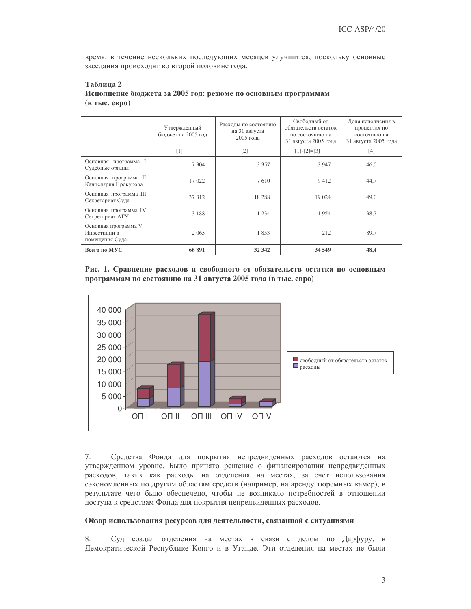время, в течение нескольких последующих месяцев улучшится, поскольку основные заседания происходят во второй половине года.

| Таблица 2                                                     |
|---------------------------------------------------------------|
| Исполнение бюджета за 2005 год: резюме по основным программам |
| $(B$ TbIC. $e$ B $p$ 0)                                       |

|                                                        | Утвержденный<br>бюджет на 2005 год | Расходы по состоянию<br>на 31 августа<br>2005 года | Свободный от<br>обязательств остаток<br>по состоянию на<br>31 августа 2005 года | Доля исполнения в<br>процентах по<br>состоянию на<br>31 августа 2005 года |
|--------------------------------------------------------|------------------------------------|----------------------------------------------------|---------------------------------------------------------------------------------|---------------------------------------------------------------------------|
|                                                        | $[1]$                              | $\lceil 2 \rceil$                                  | $[1]-[2]=[3]$                                                                   | $[4]$                                                                     |
| Основная программа I<br>Судебные органы                | 7 3 0 4                            | 3 3 5 7                                            | 3 9 4 7                                                                         | 46,0                                                                      |
| Основная программа II<br>Канцелярия Прокурора          | 17 022                             | 7610                                               | 9412                                                                            | 44,7                                                                      |
| Основная программа III<br>Секретариат Суда             | 37 312                             | 18 28 8                                            | 19 0 24                                                                         | 49,0                                                                      |
| Основная программа IV<br>Секретариат АГУ               | 3 1 8 8                            | 1 2 3 4                                            | 1954                                                                            | 38,7                                                                      |
| Основная программа V<br>Инвестиции в<br>помещения Суда | 2 0 6 5                            | 1853                                               | 212                                                                             | 89,7                                                                      |
| Всего по МУС                                           | 66 891                             | 32 342                                             | 34 549                                                                          | 48,4                                                                      |

Рис. 1. Сравнение расходов и свободного от обязательств остатка по основным программам по состоянию на 31 августа 2005 года (в тыс. евро)



7. Средства Фонда для покрытия непредвиденных расходов остаются на утвержденном уровне. Было принято решение о финансировании непредвиденных расходов, таких как расходы на отделения на местах, за счет использования сэкономленных по другим областям средств (например, на аренду тюремных камер), в результате чего было обеспечено, чтобы не возникало потребностей в отношении доступа к средствам Фонда для покрытия непредвиденных расходов.

#### Обзор использования ресурсов для деятельности, связанной с ситуациями

8. Суд создал отделения на местах в связи с делом по Дарфуру, в Демократической Республике Конго и в Уганде. Эти отделения на местах не были